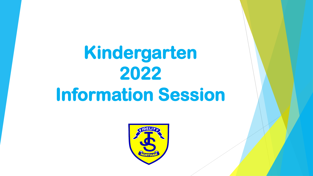# **Kindergarten 2022 Information Session**

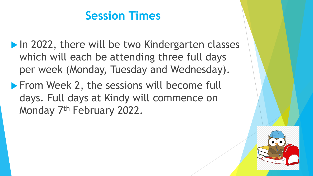#### **Session Times**

- In 2022, there will be two Kindergarten classes which will each be attending three full days per week (Monday, Tuesday and Wednesday).
- **From Week 2, the sessions will become full** days. Full days at Kindy will commence on Monday 7<sup>th</sup> February 2022.

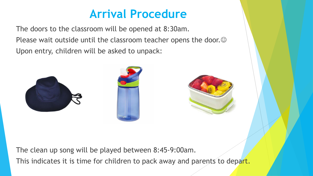#### **Arrival Procedure**

The doors to the classroom will be opened at 8:30am. Please wait outside until the classroom teacher opens the door. $\odot$ Upon entry, children will be asked to unpack:



The clean up song will be played between 8:45-9:00am. This indicates it is time for children to pack away and parents to depart.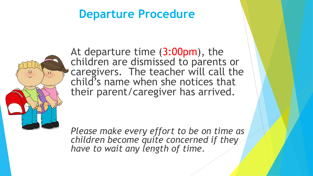#### **Departure Procedure**



At departure time (3:00pm), the children are dismissed to parents or caregivers. The teacher will call the child's name when she notices that their parent/caregiver has arrived.

*Please make every effort to be on time as children become quite concerned if they have to wait any length of time.*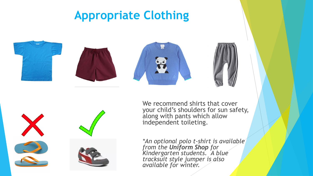# **Appropriate Clothing**











We recommend shirts that cover your child's shoulders for sun safety, along with pants which allow independent toileting.

*\*An optional polo t-shirt is available from the Uniform Shop for Kindergarten students. A blue tracksuit style jumper is also available for winter.*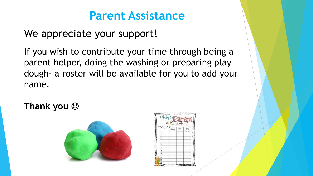#### **Parent Assistance**

We appreciate your support!

If you wish to contribute your time through being a parent helper, doing the washing or preparing play dough- a roster will be available for you to add your name.

**Thank you** ☺



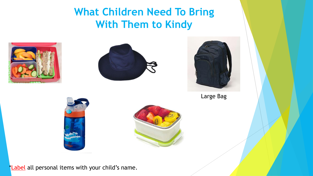**What Children Need To Bring With Them to Kindy**







Large Bag





\*Label all personal items with your child's name.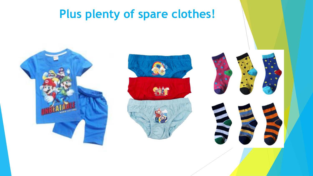# **Plus plenty of spare clothes!**





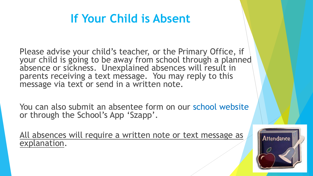# **If Your Child is Absent**

Please advise your child's teacher, or the Primary Office, if your child is going to be away from school through a planned absence or sickness. Unexplained absences will result in parents receiving a text message. You may reply to this message via text or send in a written note.

You can also submit an absentee form on our school website or through the School's App 'Szapp'.

All absences will require a written note or text message as explanation.

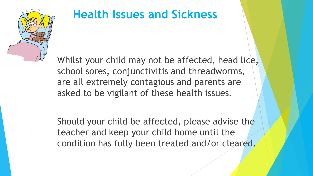

# **Health Issues and Sickness**

Whilst your child may not be affected, head lice, school sores, conjunctivitis and threadworms, are all extremely contagious and parents are asked to be vigilant of these health issues.

Should your child be affected, please advise the teacher and keep your child home until the condition has fully been treated and/or cleared.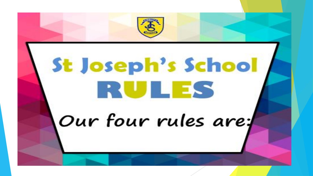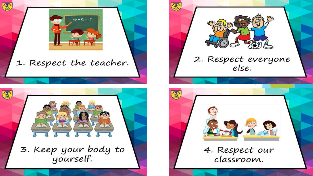

医

#### 1. Respect the teacher.





 $\mathfrak{F}$ 



4. Respect our classroom.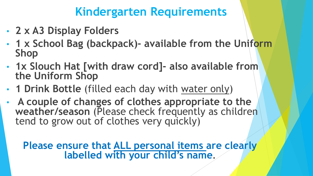#### **Kindergarten Requirements**

- **2 x A3 Display Folders**
- **1 x School Bag (backpack)- available from the Uniform Shop**
- **1x Slouch Hat [with draw cord]- also available from the Uniform Shop**
- **1 Drink Bottle** (filled each day with water only)
- **A couple of changes of clothes appropriate to the weather/season** (Please check frequently as children tend to grow out of clothes very quickly)

#### **Please ensure that ALL personal items are clearly labelled with your child's name.**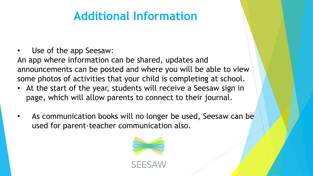## **Additional Information**

Use of the app Seesaw:

An app where information can be shared, updates and announcements can be posted and where you will be able to view some photos of activities that your child is completing at school.

- At the start of the year, students will receive a Seesaw sign in page, which will allow parents to connect to their journal.
- As communication books will no longer be used, Seesaw can be used for parent-teacher communication also.